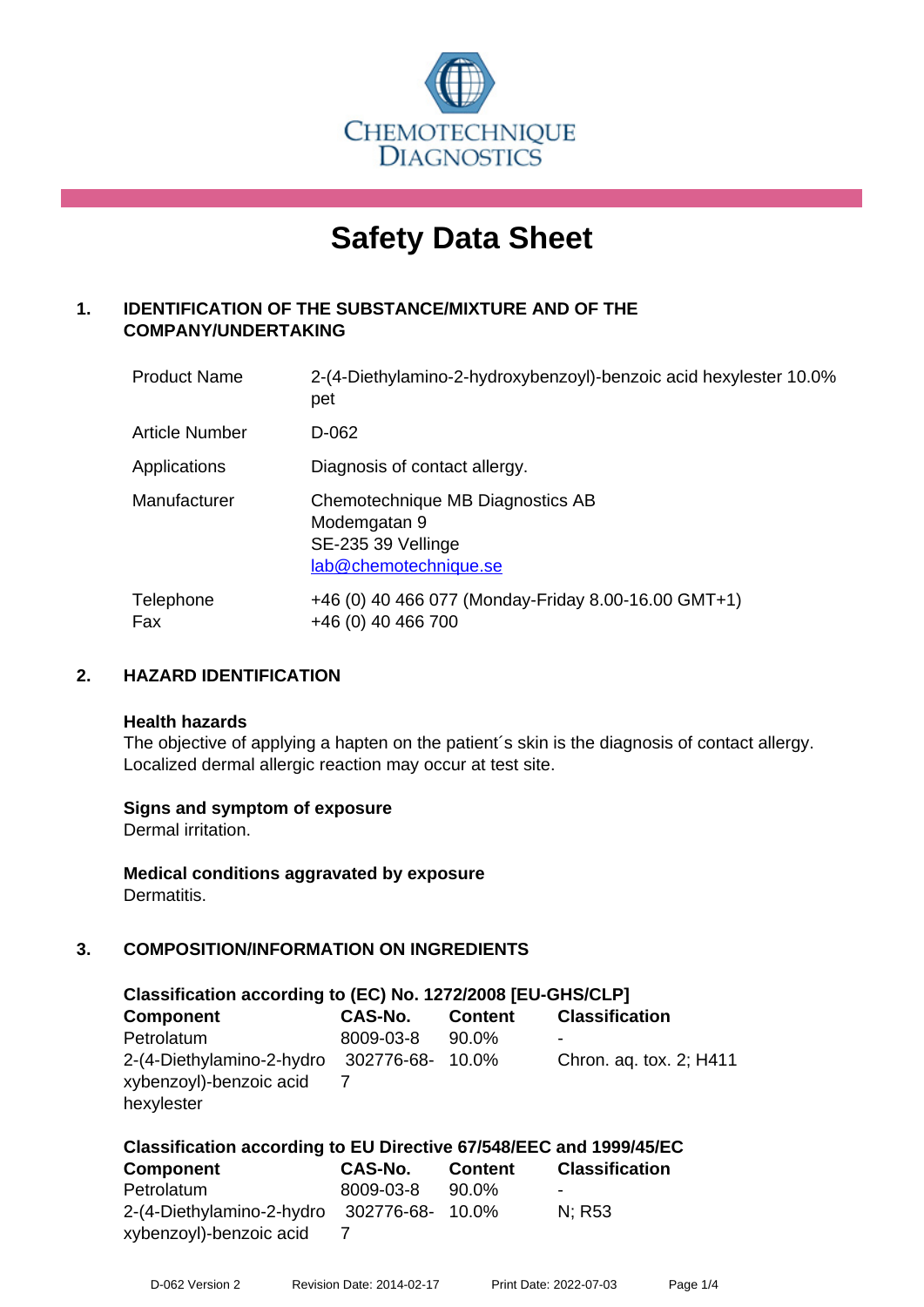

# **Safety Data Sheet**

# **1. IDENTIFICATION OF THE SUBSTANCE/MIXTURE AND OF THE COMPANY/UNDERTAKING**

| <b>Product Name</b>   | 2-(4-Diethylamino-2-hydroxybenzoyl)-benzoic acid hexylester 10.0%<br>pet                        |
|-----------------------|-------------------------------------------------------------------------------------------------|
| <b>Article Number</b> | D-062                                                                                           |
| Applications          | Diagnosis of contact allergy.                                                                   |
| Manufacturer          | Chemotechnique MB Diagnostics AB<br>Modemgatan 9<br>SE-235 39 Vellinge<br>lab@chemotechnique.se |
| Telephone<br>Fax      | +46 (0) 40 466 077 (Monday-Friday 8.00-16.00 GMT+1)<br>+46 (0) 40 466 700                       |

# **2. HAZARD IDENTIFICATION**

#### **Health hazards**

The objective of applying a hapten on the patient's skin is the diagnosis of contact allergy. Localized dermal allergic reaction may occur at test site.

# **Signs and symptom of exposure**

Dermal irritation.

**Medical conditions aggravated by exposure** Dermatitis.

# **3. COMPOSITION/INFORMATION ON INGREDIENTS**

| Classification according to (EC) No. 1272/2008 [EU-GHS/CLP] |                  |                |                         |  |  |
|-------------------------------------------------------------|------------------|----------------|-------------------------|--|--|
| <b>Component</b>                                            | <b>CAS-No.</b>   | <b>Content</b> | <b>Classification</b>   |  |  |
| Petrolatum                                                  | 8009-03-8        | 90.0%          |                         |  |  |
| 2-(4-Diethylamino-2-hydro                                   | 302776-68- 10.0% |                | Chron. aq. tox. 2; H411 |  |  |
| xybenzoyl)-benzoic acid                                     |                  |                |                         |  |  |
| hexylester                                                  |                  |                |                         |  |  |

| Classification according to EU Directive 67/548/EEC and 1999/45/EC |                  |                |                       |  |
|--------------------------------------------------------------------|------------------|----------------|-----------------------|--|
| <b>Component</b>                                                   | <b>CAS-No.</b>   | <b>Content</b> | <b>Classification</b> |  |
| Petrolatum                                                         | 8009-03-8        | 90.0%          | -                     |  |
| 2-(4-Diethylamino-2-hydro                                          | 302776-68- 10.0% |                | N: R53                |  |
| xybenzoyl)-benzoic acid                                            |                  |                |                       |  |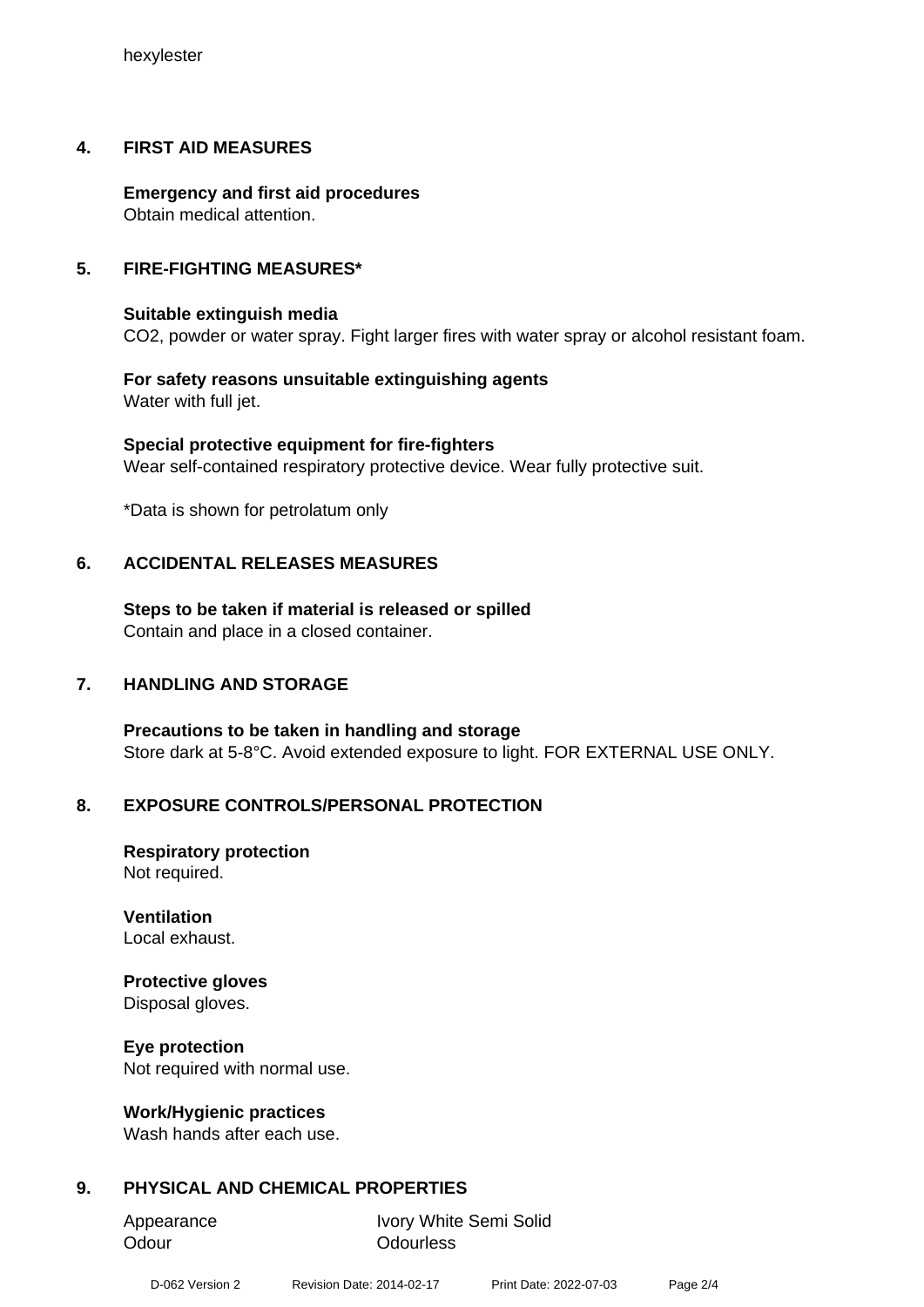# **4. FIRST AID MEASURES**

**Emergency and first aid procedures** Obtain medical attention.

# **5. FIRE-FIGHTING MEASURES\***

# **Suitable extinguish media**

CO2, powder or water spray. Fight larger fires with water spray or alcohol resistant foam.

**For safety reasons unsuitable extinguishing agents** Water with full jet.

**Special protective equipment for fire-fighters** Wear self-contained respiratory protective device. Wear fully protective suit.

\*Data is shown for petrolatum only

# **6. ACCIDENTAL RELEASES MEASURES**

**Steps to be taken if material is released or spilled** Contain and place in a closed container.

# **7. HANDLING AND STORAGE**

**Precautions to be taken in handling and storage** Store dark at 5-8°C. Avoid extended exposure to light. FOR EXTERNAL USE ONLY.

# **8. EXPOSURE CONTROLS/PERSONAL PROTECTION**

**Respiratory protection** Not required.

**Ventilation** Local exhaust.

# **Protective gloves**

Disposal gloves.

**Eye protection**

Not required with normal use.

# **Work/Hygienic practices**

Wash hands after each use.

# **9. PHYSICAL AND CHEMICAL PROPERTIES**

Odour **Odourless** 

Appearance Ivory White Semi Solid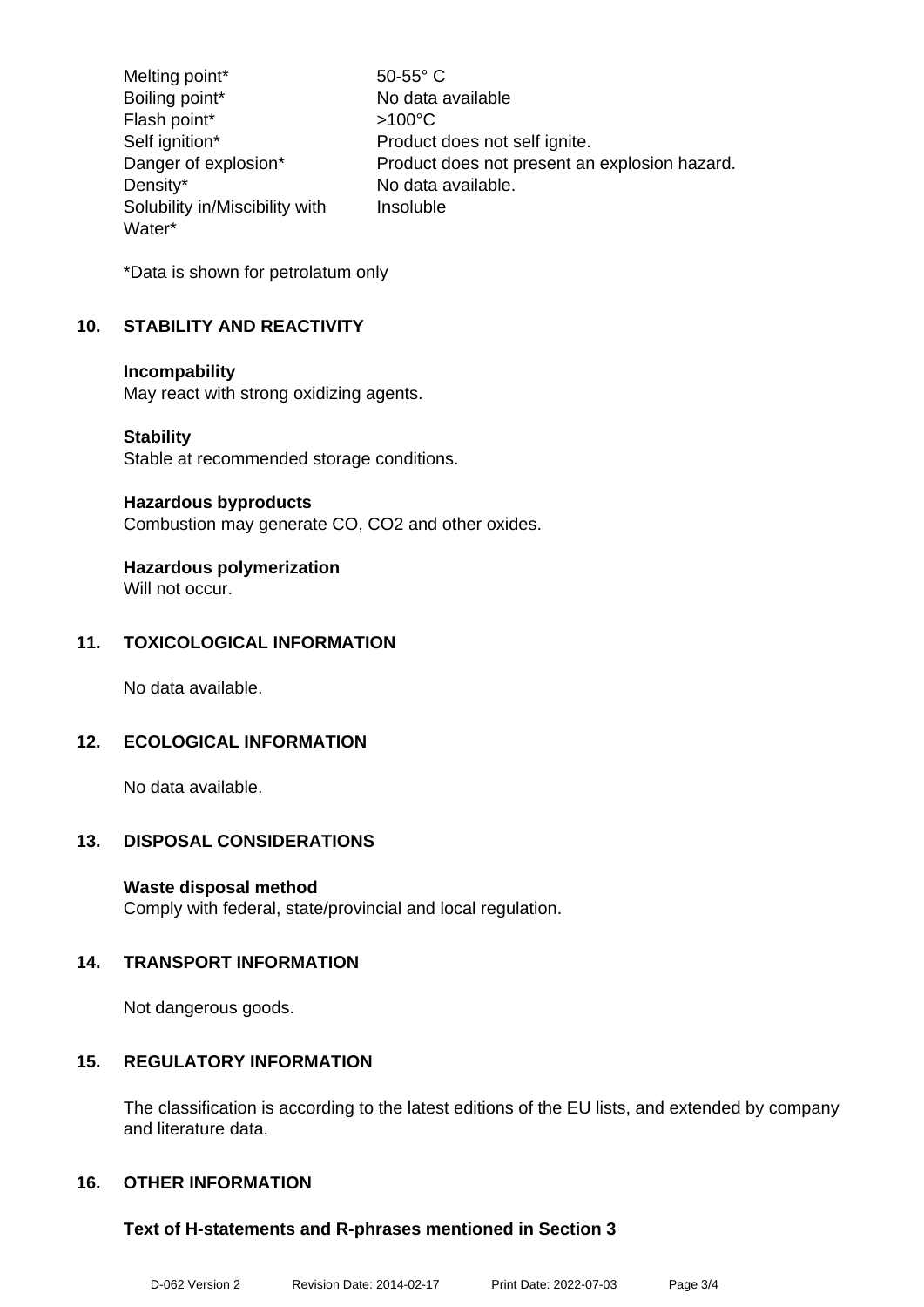Melting point\* 50-55° C Boiling point\* No data available Flash point\*  $>100^{\circ}$ C Self ignition\* Product does not self ignite. Danger of explosion\* Product does not present an explosion hazard. Density\* No data available. Solubility in/Miscibility with Water\* Insoluble

\*Data is shown for petrolatum only

# **10. STABILITY AND REACTIVITY**

#### **Incompability**

May react with strong oxidizing agents.

#### **Stability**

Stable at recommended storage conditions.

#### **Hazardous byproducts**

Combustion may generate CO, CO2 and other oxides.

# **Hazardous polymerization**

Will not occur.

# **11. TOXICOLOGICAL INFORMATION**

No data available.

# **12. ECOLOGICAL INFORMATION**

No data available.

# **13. DISPOSAL CONSIDERATIONS**

# **Waste disposal method**

Comply with federal, state/provincial and local regulation.

# **14. TRANSPORT INFORMATION**

Not dangerous goods.

# **15. REGULATORY INFORMATION**

The classification is according to the latest editions of the EU lists, and extended by company and literature data.

# **16. OTHER INFORMATION**

# **Text of H-statements and R-phrases mentioned in Section 3**